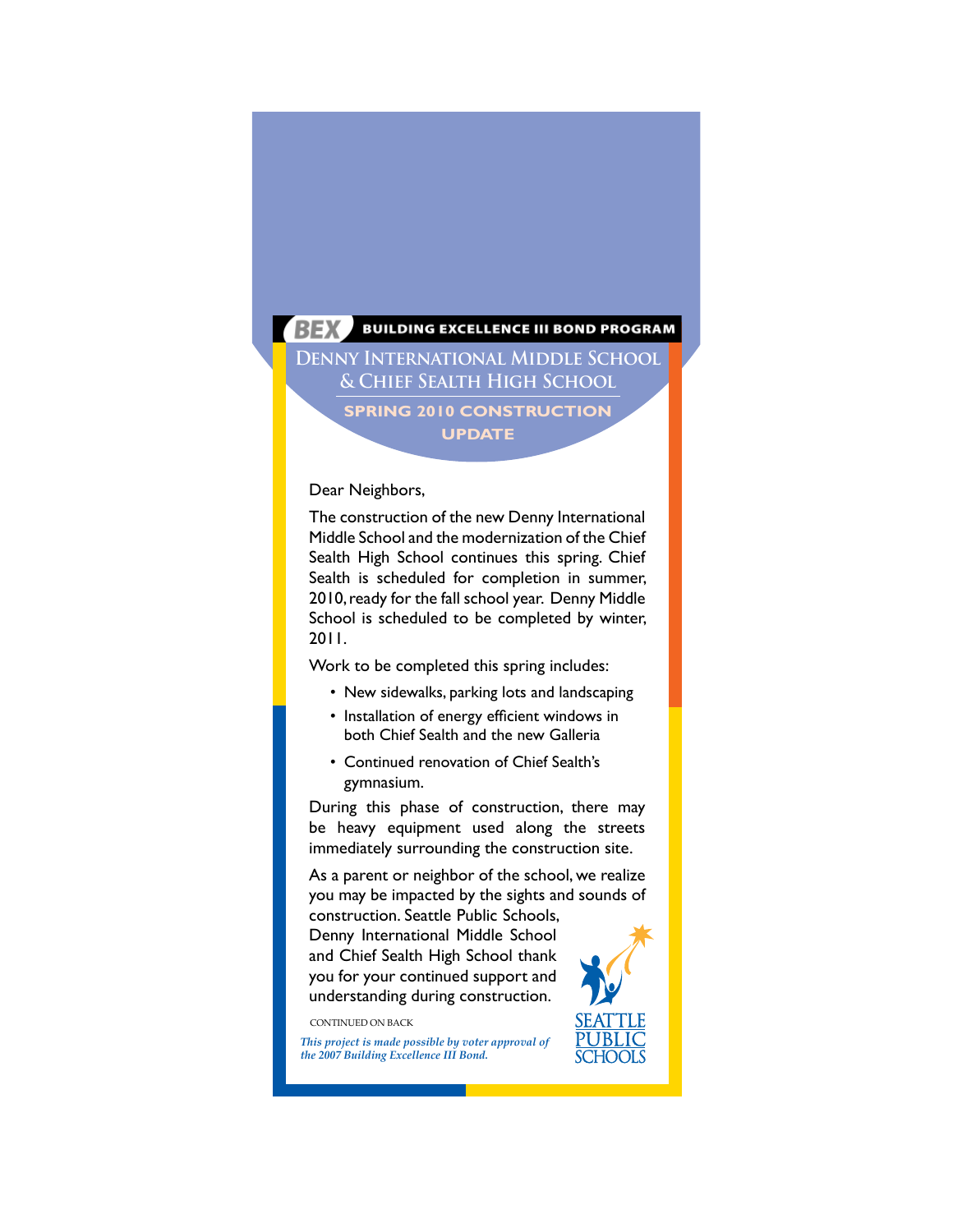#### **BEX BUILDING EXCELLENCE III BOND PROGRAM**

# **Denny International Middle School & Chief Sealth High School SPRING 2010 CONSTRUCTION UPDATE**

# Dear Neighbors,

The construction of the new Denny International Middle School and the modernization of the Chief Sealth High School continues this spring. Chief Sealth is scheduled for completion in summer, 2010, ready for the fall school year. Denny Middle School is scheduled to be completed by winter, 2011.

Work to be completed this spring includes:

- New sidewalks, parking lots and landscaping
- Installation of energy efficient windows in both Chief Sealth and the new Galleria
- Continued renovation of Chief Sealth's gymnasium.

During this phase of construction, there may be heavy equipment used along the streets immediately surrounding the construction site.

As a parent or neighbor of the school, we realize you may be impacted by the sights and sounds of construction. Seattle Public Schools,

Denny International Middle School and Chief Sealth High School thank you for your continued support and understanding during construction.



CONTINUED ON BACK

*This project is made possible by voter approval of the 2007 Building Excellence III Bond.*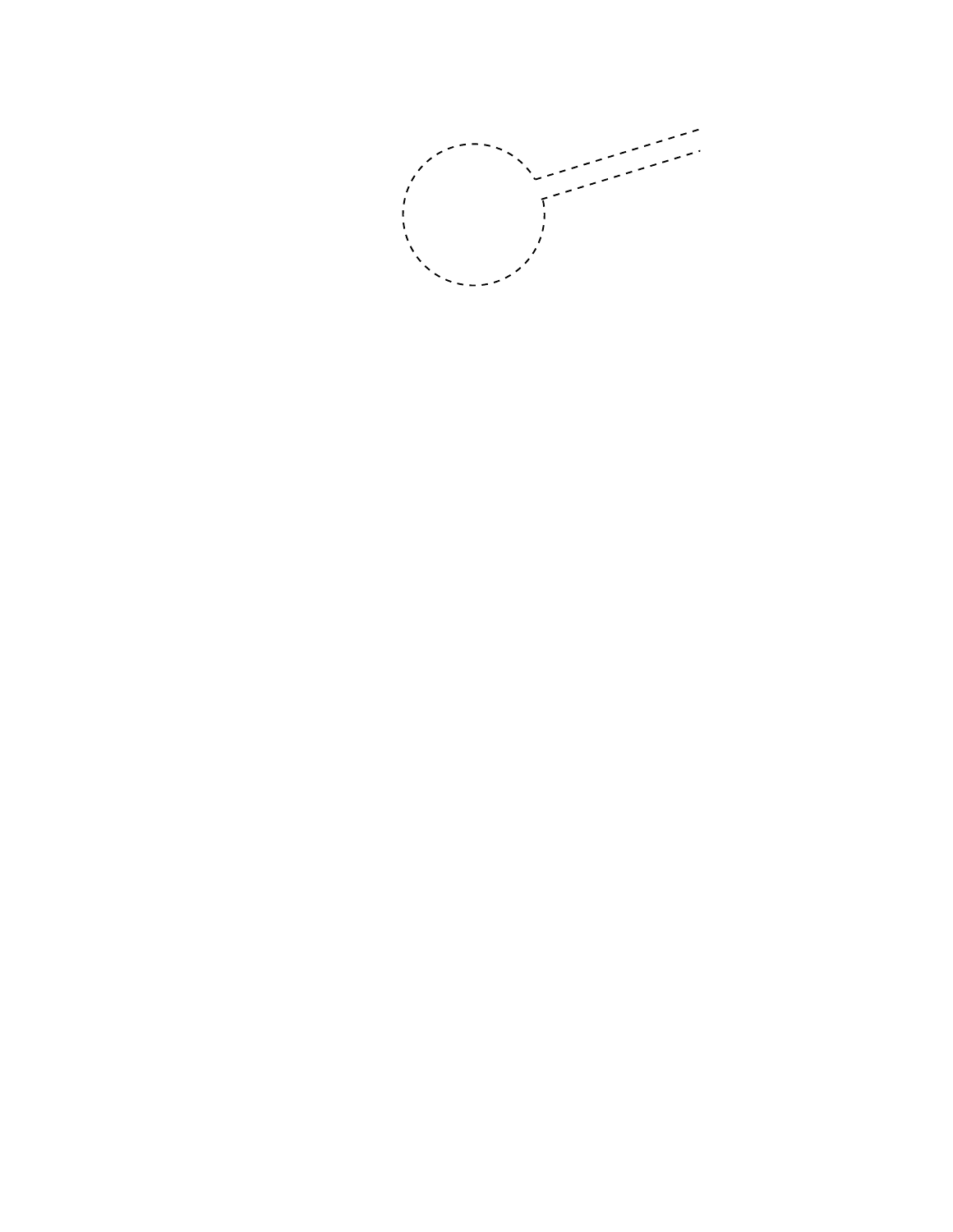